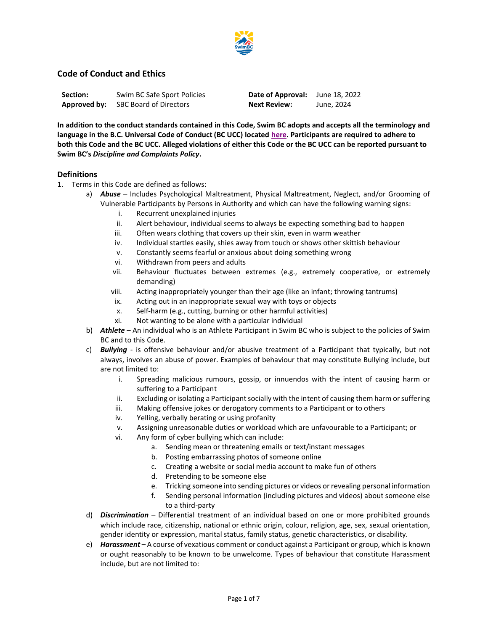

# **Code of Conduct and Ethics**

| Section:     | Swim BC Safe Sport Policies |
|--------------|-----------------------------|
| Approved by: | SBC Board of Directors      |

**Date of Approval:** June 18, 2022 **Next Review:** June, 2024

**In addition to the conduct standards contained in this Code, Swim BC adopts and accepts all the terminology and language in the B.C. Universal Code of Conduct (BC UCC) located [here.](http://www.viasport.ca/bc-universal-code-of-conduct) Participants are required to adhere to both this Code and the BC UCC. Alleged violations of either this Code or the BC UCC can be reported pursuant to Swim BC's** *Discipline and Complaints Policy***.**

## **Definitions**

- 1. Terms in this Code are defined as follows:
	- a) *Abuse* Includes Psychological Maltreatment, Physical Maltreatment, Neglect, and/or Grooming of Vulnerable Participants by Persons in Authority and which can have the following warning signs:
		- i. Recurrent unexplained injuries
		- ii. Alert behaviour, individual seems to always be expecting something bad to happen
		- iii. Often wears clothing that covers up their skin, even in warm weather
		- iv. Individual startles easily, shies away from touch or shows other skittish behaviour
		- v. Constantly seems fearful or anxious about doing something wrong
		- vi. Withdrawn from peers and adults
		- vii. Behaviour fluctuates between extremes (e.g., extremely cooperative, or extremely demanding)
		- viii. Acting inappropriately younger than their age (like an infant; throwing tantrums)
		- ix. Acting out in an inappropriate sexual way with toys or objects
		- x. Self-harm (e.g., cutting, burning or other harmful activities)
		- xi. Not wanting to be alone with a particular individual
	- b) *Athlete* An individual who is an Athlete Participant in Swim BC who is subject to the policies of Swim BC and to this Code.
	- c) *Bullying* is offensive behaviour and/or abusive treatment of a Participant that typically, but not always, involves an abuse of power. Examples of behaviour that may constitute Bullying include, but are not limited to:
		- i. Spreading malicious rumours, gossip, or innuendos with the intent of causing harm or suffering to a Participant
		- ii. Excluding or isolating a Participant socially with the intent of causing them harm or suffering
		- iii. Making offensive jokes or derogatory comments to a Participant or to others
		- iv. Yelling, verbally berating or using profanity
		- v. Assigning unreasonable duties or workload which are unfavourable to a Participant; or
		- vi. Any form of cyber bullying which can include:
			- a. Sending mean or threatening emails or text/instant messages
			- b. Posting embarrassing photos of someone online
			- c. Creating a website or social media account to make fun of others
			- d. Pretending to be someone else
			- e. Tricking someone into sending pictures or videos or revealing personal information
			- f. Sending personal information (including pictures and videos) about someone else to a third-party
	- d) *Discrimination* Differential treatment of an individual based on one or more prohibited grounds which include race, citizenship, national or ethnic origin, colour, religion, age, sex, sexual orientation, gender identity or expression, marital status, family status, genetic characteristics, or disability.
	- e) *Harassment* A course of vexatious comment or conduct against a Participant or group, which is known or ought reasonably to be known to be unwelcome. Types of behaviour that constitute Harassment include, but are not limited to: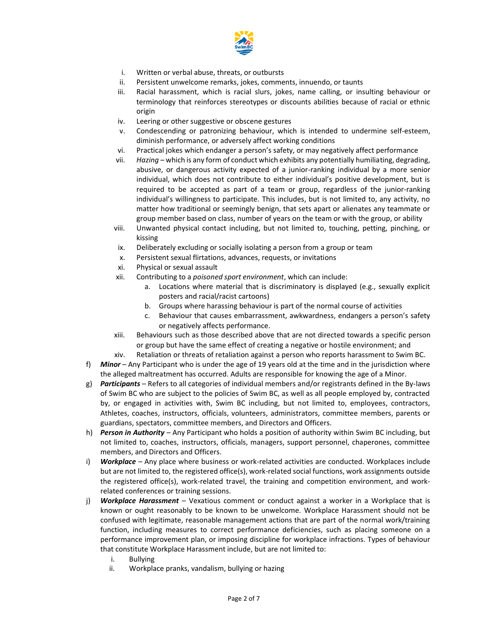

- i. Written or verbal abuse, threats, or outbursts
- ii. Persistent unwelcome remarks, jokes, comments, innuendo, or taunts
- iii. Racial harassment, which is racial slurs, jokes, name calling, or insulting behaviour or terminology that reinforces stereotypes or discounts abilities because of racial or ethnic origin
- iv. Leering or other suggestive or obscene gestures
- v. Condescending or patronizing behaviour, which is intended to undermine self-esteem, diminish performance, or adversely affect working conditions
- vi. Practical jokes which endanger a person's safety, or may negatively affect performance
- vii. *Hazing* which is any form of conduct which exhibits any potentially humiliating, degrading, abusive, or dangerous activity expected of a junior-ranking individual by a more senior individual, which does not contribute to either individual's positive development, but is required to be accepted as part of a team or group, regardless of the junior-ranking individual's willingness to participate. This includes, but is not limited to, any activity, no matter how traditional or seemingly benign, that sets apart or alienates any teammate or group member based on class, number of years on the team or with the group, or ability
- viii. Unwanted physical contact including, but not limited to, touching, petting, pinching, or kissing
- ix. Deliberately excluding or socially isolating a person from a group or team
- x. Persistent sexual flirtations, advances, requests, or invitations
- xi. Physical or sexual assault
- xii. Contributing to a *poisoned sport environment*, which can include:
	- a. Locations where material that is discriminatory is displayed (e.g., sexually explicit posters and racial/racist cartoons)
	- b. Groups where harassing behaviour is part of the normal course of activities
	- c. Behaviour that causes embarrassment, awkwardness, endangers a person's safety or negatively affects performance.
- xiii. Behaviours such as those described above that are not directed towards a specific person or group but have the same effect of creating a negative or hostile environment; and

xiv. Retaliation or threats of retaliation against a person who reports harassment to Swim BC.

- f) *Minor* Any Participant who is under the age of 19 years old at the time and in the jurisdiction where the alleged maltreatment has occurred. Adults are responsible for knowing the age of a Minor.
- g) *Participants* Refers to all categories of individual members and/or registrants defined in the By-laws of Swim BC who are subject to the policies of Swim BC, as well as all people employed by, contracted by, or engaged in activities with, Swim BC including, but not limited to, employees, contractors, Athletes, coaches, instructors, officials, volunteers, administrators, committee members, parents or guardians, spectators, committee members, and Directors and Officers.
- h) *Person in Authority* Any Participant who holds a position of authority within Swim BC including, but not limited to, coaches, instructors, officials, managers, support personnel, chaperones, committee members, and Directors and Officers.
- i) *Workplace* Any place where business or work-related activities are conducted. Workplaces include but are not limited to, the registered office(s), work-related social functions, work assignments outside the registered office(s), work-related travel, the training and competition environment, and workrelated conferences or training sessions.
- j) *Workplace Harassment* Vexatious comment or conduct against a worker in a Workplace that is known or ought reasonably to be known to be unwelcome. Workplace Harassment should not be confused with legitimate, reasonable management actions that are part of the normal work/training function, including measures to correct performance deficiencies, such as placing someone on a performance improvement plan, or imposing discipline for workplace infractions. Types of behaviour that constitute Workplace Harassment include, but are not limited to:
	- i. Bullying
	- ii. Workplace pranks, vandalism, bullying or hazing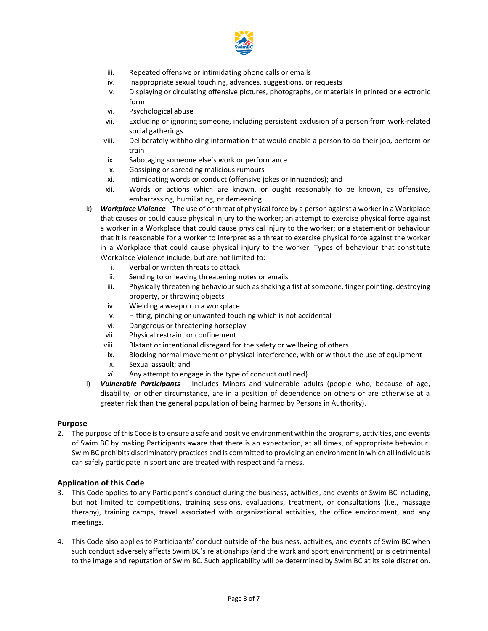

- iii. Repeated offensive or intimidating phone calls or emails
- iv. Inappropriate sexual touching, advances, suggestions, or requests
- v. Displaying or circulating offensive pictures, photographs, or materials in printed or electronic form
- vi. Psychological abuse
- vii. Excluding or ignoring someone, including persistent exclusion of a person from work-related social gatherings
- viii. Deliberately withholding information that would enable a person to do their job, perform or train
- ix. Sabotaging someone else's work or performance
- x. Gossiping or spreading malicious rumours
- xi. Intimidating words or conduct (offensive jokes or innuendos); and
- xii. Words or actions which are known, or ought reasonably to be known, as offensive, embarrassing, humiliating, or demeaning.
- k) *Workplace Violence* The use of or threat of physical force by a person against a worker in a Workplace that causes or could cause physical injury to the worker; an attempt to exercise physical force against a worker in a Workplace that could cause physical injury to the worker; or a statement or behaviour that it is reasonable for a worker to interpret as a threat to exercise physical force against the worker in a Workplace that could cause physical injury to the worker. Types of behaviour that constitute Workplace Violence include, but are not limited to:
	- i. Verbal or written threats to attack
	- ii. Sending to or leaving threatening notes or emails
	- iii. Physically threatening behaviour such as shaking a fist at someone, finger pointing, destroying property, or throwing objects
	- iv. Wielding a weapon in a workplace
	- v. Hitting, pinching or unwanted touching which is not accidental
	- vi. Dangerous or threatening horseplay
	- vii. Physical restraint or confinement
	- viii. Blatant or intentional disregard for the safety or wellbeing of others
	- ix. Blocking normal movement or physical interference, with or without the use of equipment
	- x. Sexual assault; and
	- *xi.* Any attempt to engage in the type of conduct outlined)*.*
- l) *Vulnerable Participants* Includes Minors and vulnerable adults (people who, because of age, disability, or other circumstance, are in a position of dependence on others or are otherwise at a greater risk than the general population of being harmed by Persons in Authority).

#### **Purpose**

2. The purpose of this Code is to ensure a safe and positive environment within the programs, activities, and events of Swim BC by making Participants aware that there is an expectation, at all times, of appropriate behaviour. Swim BC prohibits discriminatory practices and is committed to providing an environment in which all individuals can safely participate in sport and are treated with respect and fairness.

## **Application of this Code**

- 3. This Code applies to any Participant's conduct during the business, activities, and events of Swim BC including, but not limited to competitions, training sessions, evaluations, treatment, or consultations (i.e., massage therapy), training camps, travel associated with organizational activities, the office environment, and any meetings.
- 4. This Code also applies to Participants' conduct outside of the business, activities, and events of Swim BC when such conduct adversely affects Swim BC's relationships (and the work and sport environment) or is detrimental to the image and reputation of Swim BC. Such applicability will be determined by Swim BC at its sole discretion.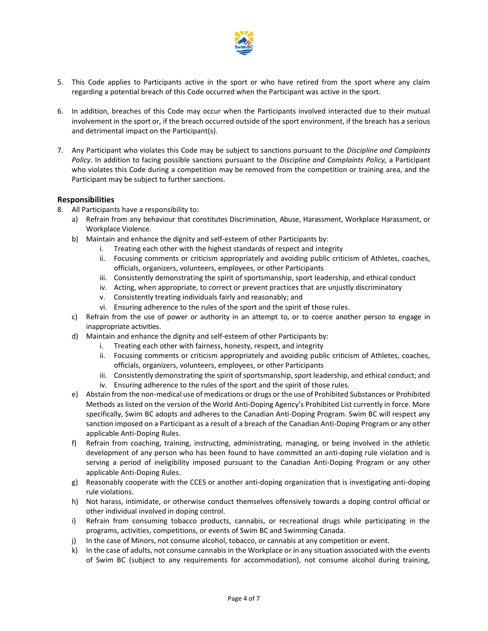

- 5. This Code applies to Participants active in the sport or who have retired from the sport where any claim regarding a potential breach of this Code occurred when the Participant was active in the sport.
- 6. In addition, breaches of this Code may occur when the Participants involved interacted due to their mutual involvement in the sport or, if the breach occurred outside of the sport environment, if the breach has a serious and detrimental impact on the Participant(s).
- 7. Any Participant who violates this Code may be subject to sanctions pursuant to the *Discipline and Complaints Policy*. In addition to facing possible sanctions pursuant to the *Discipline and Complaints Policy,* a Participant who violates this Code during a competition may be removed from the competition or training area, and the Participant may be subject to further sanctions.

## **Responsibilities**

- 8. All Participants have a responsibility to:
	- a) Refrain from any behaviour that constitutes Discrimination, Abuse, Harassment, Workplace Harassment, or Workplace Violence.
	- b) Maintain and enhance the dignity and self-esteem of other Participants by:
		- i. Treating each other with the highest standards of respect and integrity
		- ii. Focusing comments or criticism appropriately and avoiding public criticism of Athletes, coaches, officials, organizers, volunteers, employees, or other Participants
		- iii. Consistently demonstrating the spirit of sportsmanship, sport leadership, and ethical conduct
		- iv. Acting, when appropriate, to correct or prevent practices that are unjustly discriminatory
		- v. Consistently treating individuals fairly and reasonably; and
		- vi. Ensuring adherence to the rules of the sport and the spirit of those rules.
	- c) Refrain from the use of power or authority in an attempt to, or to coerce another person to engage in inappropriate activities.
	- d) Maintain and enhance the dignity and self-esteem of other Participants by:
		- i. Treating each other with fairness, honesty, respect, and integrity
		- ii. Focusing comments or criticism appropriately and avoiding public criticism of Athletes, coaches, officials, organizers, volunteers, employees, or other Participants
		- iii. Consistently demonstrating the spirit of sportsmanship, sport leadership, and ethical conduct; and iv. Ensuring adherence to the rules of the sport and the spirit of those rules.
	- e) Abstain from the non-medical use of medications or drugs or the use of Prohibited Substances or Prohibited Methods as listed on the version of the World Anti-Doping Agency's Prohibited List currently in force. More specifically, Swim BC adopts and adheres to the Canadian Anti-Doping Program. Swim BC will respect any sanction imposed on a Participant as a result of a breach of the Canadian Anti-Doping Program or any other applicable Anti-Doping Rules.
	- f) Refrain from coaching, training, instructing, administrating, managing, or being involved in the athletic development of any person who has been found to have committed an anti-doping rule violation and is serving a period of ineligibility imposed pursuant to the Canadian Anti-Doping Program or any other applicable Anti-Doping Rules.
	- g) Reasonably cooperate with the CCES or another anti-doping organization that is investigating anti-doping rule violations.
	- h) Not harass, intimidate, or otherwise conduct themselves offensively towards a doping control official or other individual involved in doping control.
	- i) Refrain from consuming tobacco products, cannabis, or recreational drugs while participating in the programs, activities, competitions, or events of Swim BC and Swimming Canada.
	- j) In the case of Minors, not consume alcohol, tobacco, or cannabis at any competition or event.
	- k) In the case of adults, not consume cannabis in the Workplace or in any situation associated with the events of Swim BC (subject to any requirements for accommodation), not consume alcohol during training,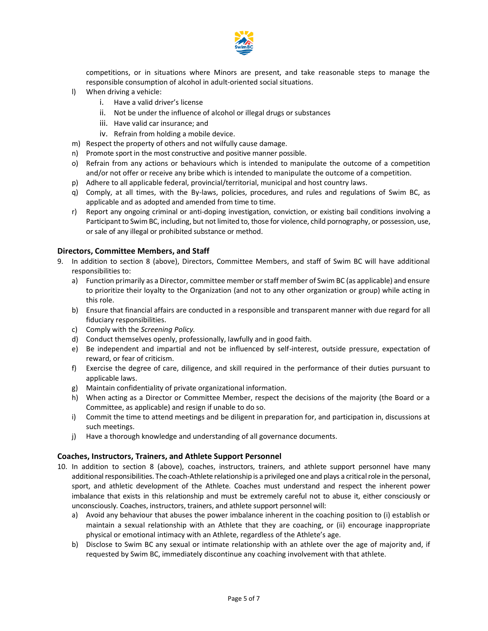

competitions, or in situations where Minors are present, and take reasonable steps to manage the responsible consumption of alcohol in adult-oriented social situations.

- l) When driving a vehicle:
	- i. Have a valid driver's license
	- ii. Not be under the influence of alcohol or illegal drugs or substances
	- iii. Have valid car insurance; and
	- iv. Refrain from holding a mobile device.
- m) Respect the property of others and not wilfully cause damage.
- n) Promote sport in the most constructive and positive manner possible.
- o) Refrain from any actions or behaviours which is intended to manipulate the outcome of a competition and/or not offer or receive any bribe which is intended to manipulate the outcome of a competition.
- p) Adhere to all applicable federal, provincial/territorial, municipal and host country laws.
- q) Comply, at all times, with the By-laws, policies, procedures, and rules and regulations of Swim BC, as applicable and as adopted and amended from time to time.
- r) Report any ongoing criminal or anti-doping investigation, conviction, or existing bail conditions involving a Participant to Swim BC, including, but not limited to, those for violence, child pornography, or possession, use, or sale of any illegal or prohibited substance or method.

#### **Directors, Committee Members, and Staff**

- 9. In addition to section 8 (above), Directors, Committee Members, and staff of Swim BC will have additional responsibilities to:
	- a) Function primarily as a Director, committee member or staff member of Swim BC (as applicable) and ensure to prioritize their loyalty to the Organization (and not to any other organization or group) while acting in this role.
	- b) Ensure that financial affairs are conducted in a responsible and transparent manner with due regard for all fiduciary responsibilities.
	- c) Comply with the *Screening Policy.*
	- d) Conduct themselves openly, professionally, lawfully and in good faith.
	- e) Be independent and impartial and not be influenced by self-interest, outside pressure, expectation of reward, or fear of criticism.
	- f) Exercise the degree of care, diligence, and skill required in the performance of their duties pursuant to applicable laws.
	- g) Maintain confidentiality of private organizational information.
	- h) When acting as a Director or Committee Member, respect the decisions of the majority (the Board or a Committee, as applicable) and resign if unable to do so.
	- i) Commit the time to attend meetings and be diligent in preparation for, and participation in, discussions at such meetings.
	- j) Have a thorough knowledge and understanding of all governance documents.

## **Coaches, Instructors, Trainers, and Athlete Support Personnel**

- 10. In addition to section 8 (above), coaches, instructors, trainers, and athlete support personnel have many additional responsibilities. The coach-Athlete relationship is a privileged one and plays a critical role in the personal, sport, and athletic development of the Athlete. Coaches must understand and respect the inherent power imbalance that exists in this relationship and must be extremely careful not to abuse it, either consciously or unconsciously. Coaches, instructors, trainers, and athlete support personnel will:
	- a) Avoid any behaviour that abuses the power imbalance inherent in the coaching position to (i) establish or maintain a sexual relationship with an Athlete that they are coaching, or (ii) encourage inappropriate physical or emotional intimacy with an Athlete, regardless of the Athlete's age.
	- b) Disclose to Swim BC any sexual or intimate relationship with an athlete over the age of majority and, if requested by Swim BC, immediately discontinue any coaching involvement with that athlete.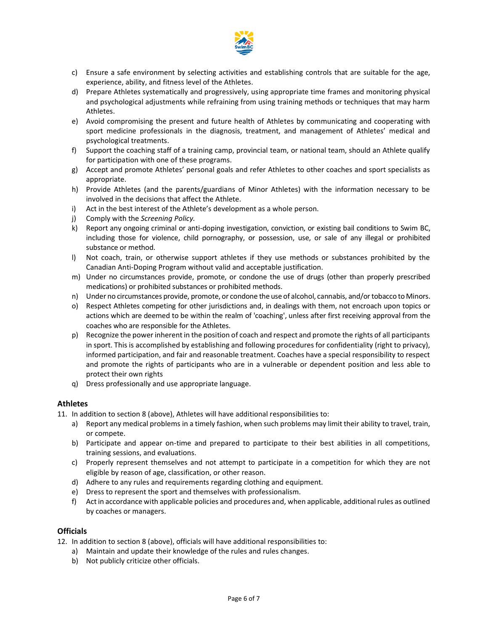

- c) Ensure a safe environment by selecting activities and establishing controls that are suitable for the age, experience, ability, and fitness level of the Athletes.
- d) Prepare Athletes systematically and progressively, using appropriate time frames and monitoring physical and psychological adjustments while refraining from using training methods or techniques that may harm Athletes.
- e) Avoid compromising the present and future health of Athletes by communicating and cooperating with sport medicine professionals in the diagnosis, treatment, and management of Athletes' medical and psychological treatments.
- f) Support the coaching staff of a training camp, provincial team, or national team, should an Athlete qualify for participation with one of these programs.
- g) Accept and promote Athletes' personal goals and refer Athletes to other coaches and sport specialists as appropriate.
- h) Provide Athletes (and the parents/guardians of Minor Athletes) with the information necessary to be involved in the decisions that affect the Athlete.
- i) Act in the best interest of the Athlete's development as a whole person.
- j) Comply with the *Screening Policy.*
- k) Report any ongoing criminal or anti-doping investigation, conviction, or existing bail conditions to Swim BC, including those for violence, child pornography, or possession, use, or sale of any illegal or prohibited substance or method.
- l) Not coach, train, or otherwise support athletes if they use methods or substances prohibited by the Canadian Anti-Doping Program without valid and acceptable justification.
- m) Under no circumstances provide, promote, or condone the use of drugs (other than properly prescribed medications) or prohibited substances or prohibited methods.
- n) Under no circumstances provide, promote, or condone the use of alcohol, cannabis, and/or tobacco to Minors.
- o) Respect Athletes competing for other jurisdictions and, in dealings with them, not encroach upon topics or actions which are deemed to be within the realm of 'coaching', unless after first receiving approval from the coaches who are responsible for the Athletes.
- p) Recognize the power inherent in the position of coach and respect and promote the rights of all participants in sport. This is accomplished by establishing and following procedures for confidentiality (right to privacy), informed participation, and fair and reasonable treatment. Coaches have a special responsibility to respect and promote the rights of participants who are in a vulnerable or dependent position and less able to protect their own rights
- q) Dress professionally and use appropriate language.

## **Athletes**

- 11. In addition to section 8 (above), Athletes will have additional responsibilities to:
	- a) Report any medical problems in a timely fashion, when such problems may limit their ability to travel, train, or compete.
	- b) Participate and appear on-time and prepared to participate to their best abilities in all competitions, training sessions, and evaluations.
	- c) Properly represent themselves and not attempt to participate in a competition for which they are not eligible by reason of age, classification, or other reason.
	- d) Adhere to any rules and requirements regarding clothing and equipment.
	- e) Dress to represent the sport and themselves with professionalism.
	- f) Act in accordance with applicable policies and procedures and, when applicable, additional rules as outlined by coaches or managers.

## **Officials**

- 12. In addition to section 8 (above), officials will have additional responsibilities to:
	- a) Maintain and update their knowledge of the rules and rules changes.
	- b) Not publicly criticize other officials.